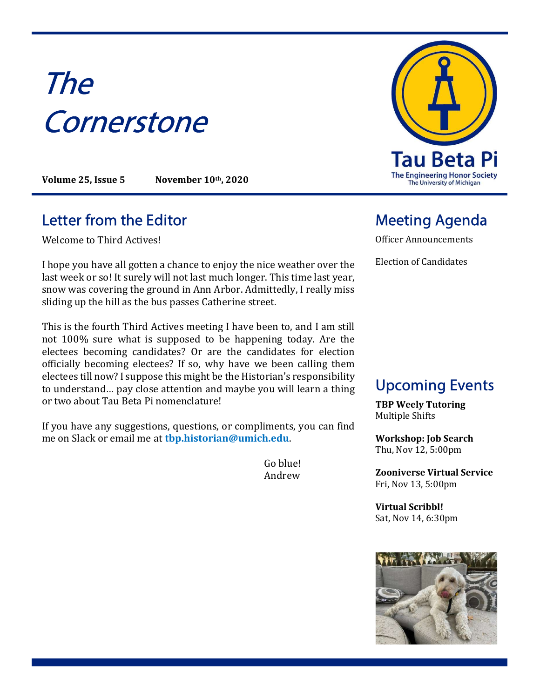# The **Cornerstone**

Volume 25, Issue 5 November 10th, 2020

# Letter from the Editor **Meeting Agenda**

Welcome to Third Actives!

I hope you have all gotten a chance to enjoy the nice weather over the last week or so! It surely will not last much longer. This time last year, snow was covering the ground in Ann Arbor. Admittedly, I really miss sliding up the hill as the bus passes Catherine street.

This is the fourth Third Actives meeting I have been to, and I am still not 100% sure what is supposed to be happening today. Are the electees becoming candidates? Or are the candidates for election officially becoming electees? If so, why have we been calling them electees till now? I suppose this might be the Historian's responsibility to understand… pay close attention and maybe you will learn a thing or two about Tau Beta Pi nomenclature!

If you have any suggestions, questions, or compliments, you can find me on Slack or email me at tbp.historian@umich.edu.

> Go blue! Andrew



Officer Announcements

Election of Candidates

# Upcoming Events

TBP Weely Tutoring Multiple Shifts

Workshop: Job Search Thu, Nov 12, 5:00pm

Zooniverse Virtual Service Fri, Nov 13, 5:00pm

Virtual Scribbl! Sat, Nov 14, 6:30pm